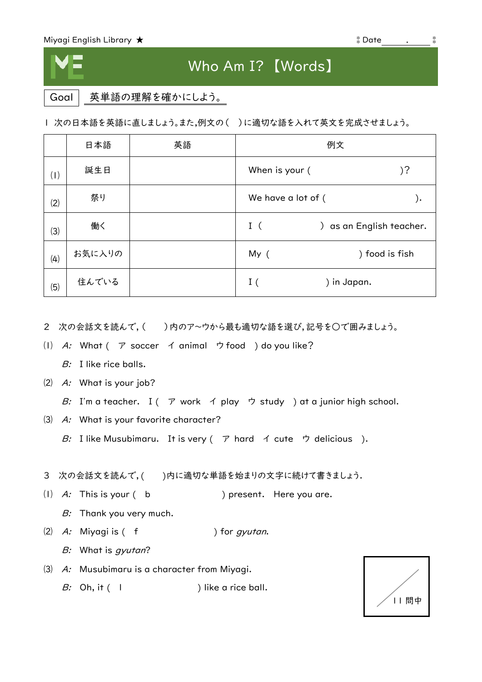## Who Am I? 【Words】

Goal 英単語の理解を確かにしよう。

1 次の日本語を英語に直しましょう。また,例文の( )に適切な語を入れて英文を完成させましょう。

|     | 日本語    | 英語 | 例文                 |                          |
|-----|--------|----|--------------------|--------------------------|
| (1) | 誕生日    |    | When is your (     | )?                       |
| (2) | 祭り     |    | We have a lot of ( | ).                       |
| (3) | 働く     |    | I(                 | ) as an English teacher. |
| (4) | お気に入りの |    | My (               | ) food is fish           |
| (5) | 住んでいる  |    | I(<br>) in Japan.  |                          |

- 2 次の会話文を読んで,( )内のア~ウから最も適切な語を選び,記号を○で囲みましょう。
- ⑴ A: What ( ア soccer イ animal ウ food ) do you like?
	- B: I like rice balls.
- ⑵ A: What is your job?
	- B: I'm a teacher. I ( $\mathcal P$  work  $\mathcal A$  play  $\mathcal P$  study ) at a junior high school.
- ⑶ A: What is your favorite character?
	- B: I like Musubimaru. It is very  $($   $\mathcal{P}$  hard  $\mathcal{A}$  cute  $\mathcal{D}$  delicious ).
- 3 次の会話文を読んで,( )内に適切な単語を始まりの文字に続けて書きましょう.
- (1)  $A$ : This is your (b ) present. Here you are.
	- B: Thank you very much.
- $(2)$  A: Miyagi is  $($  f  $)$  for *gyutan*.
	- B: What is gyutan?
- ⑶ A: Musubimaru is a character from Miyagi.
	- B: Oh, it  $($  | ) like a rice ball.